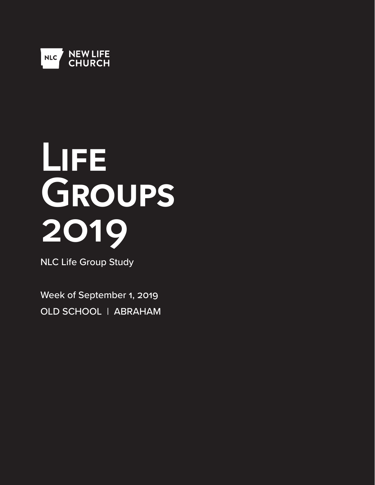

# **Life Groups 2019**

NLC Life Group Study

Week of September 1, 2019 OLD SCHOOL | ABRAHAM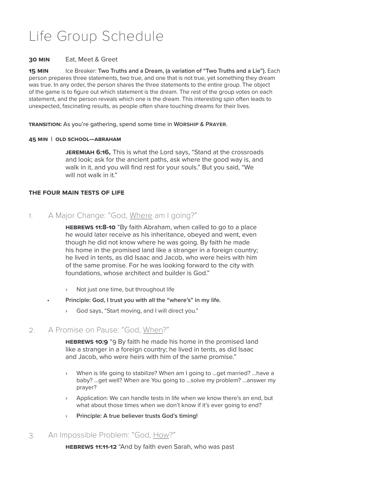# Life Group Schedule

#### **30 Min** Eat, Meet & Greet

**15 Min** Ice Breaker: **Two Truths and a Dream, (a variation of "Two Truths and a Lie").** Each person prepares three statements, two true, and one that is not true, yet something they dream was true. In any order, the person shares the three statements to the entire group. The object of the game is to figure out which statement is the dream. The rest of the group votes on each statement, and the person reveals which one is the dream. This interesting spin often leads to unexpected, fascinating results, as people often share touching dreams for their lives.

**Transition:** As you're gathering, spend some time in **Worship & Prayer**.

#### **45 Min | Old School—ABRAHAM**

**Jeremiah 6:16,** This is what the Lord says, "Stand at the crossroads and look; ask for the ancient paths, ask where the good way is, and walk in it, and you will find rest for your souls." But you said, "We will not walk in it."

#### **THe Four Main Tests of life**

1. A Major Change: "God, Where am I going?"

**Hebrews 11:8-10** "By faith Abraham, when called to go to a place he would later receive as his inheritance, obeyed and went, even though he did not know where he was going. By faith he made his home in the promised land like a stranger in a foreign country; he lived in tents, as did Isaac and Jacob, who were heirs with him of the same promise. For he was looking forward to the city with foundations, whose architect and builder is God."

- › Not just one time, but throughout life
- **Principle: God, I trust you with all the "where's" in my life.**
	- › God says, "Start moving, and I will direct you."

## 2. A Promise on Pause: "God, When?"

**HEBREWS 10:9** "9 By faith he made his home in the promised land like a stranger in a foreign country; he lived in tents, as did Isaac and Jacob, who were heirs with him of the same promise."

- When is life going to stabilize? When am I going to ...get married? ...have a baby? ...get well? When are You going to ...solve my problem? ...answer my prayer?
- Application: We can handle tests in life when we know there's an end, but what about those times when we don't know if it's ever going to end?
- › **Principle: A true believer trusts God's timing!**

## 3. An Impossible Problem: "God, How?"

**Hebrews 11:11-12** "And by faith even Sarah, who was past